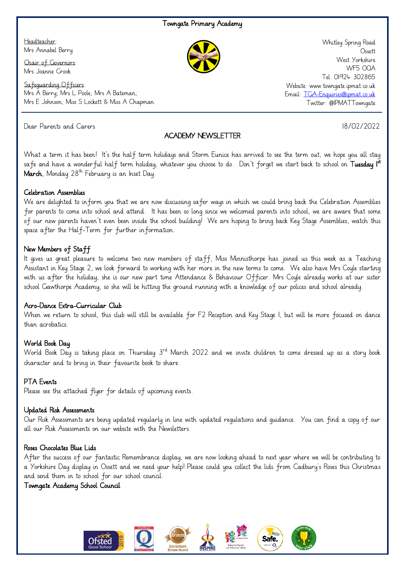#### Towngate Primary Academy

Headteacher: Mrs Annabel Berry

Chair of Governors: Mrs Joanne Crook

Safeguarding Officers: Mrs A Berry; Mrs L Poole; Mrs A Bateman; Mrs E Johnson; Miss S Lockett & Miss A Chapman

Dear Parents and Carers 18/02/2022

# ACADEMY NEWSLETTER

Whitley Spring Road **Ossett** West Yorkshire WF5 OQA Tel. 01924 302865 Website: www.towngate.ipmat.co.uk Email: [TGA-Enquiries@ipmat.co.uk](mailto:TGA-Enquiries@ipmat.co.uk) Twitter: @IPMATTowngate

What a term it has been! It's the half term holidays and Storm Eunice has arrived to see the term out, we hope you all stay safe and have a wonderful half term holiday, whatever you choose to do. Don't forget we start back to school on **Tuesday I<sup>st</sup>** March, Monday  $28^{th}$  February is an Inset Day.

#### Celebration Assemblies

We are delighted to inform you that we are now discussing safer ways in which we could bring back the Celebration Assemblies for parents to come into school and attend. It has been so long since we welcomed parents into school, we are aware that some of our new parents haven't even been inside the school building! We are hoping to bring back Key Stage Assemblies, watch this space after the Half-Term for further information.

#### New Members of Staff

It gives us great pleasure to welcome two new members of staff, Miss Minnisthorpe has joined us this week as a Teaching Assistant in Key Stage 2, we look forward to working with her more in the new terms to come. We also have Mrs Coyle starting with us after the holiday, she is our new part time Attendance & Behaviour Officer. Mrs Coyle already works at our sister school Gawthorpe Academy, so she will be hitting the ground running with a knowledge of our polices and school already.

#### Acro-Dance Extra-Curricular Club

When we return to school, this club will still be available for F2 Reception and Key Stage 1, but will be more focused on dance than acrobatics.

### World Book Day

World Book Day is taking place on Thursday 3<sup>rd</sup> March 2022 and we invite children to come dressed up as a story book character and to bring in their favourite book to share.

### PTA Events

Please see the attached flyer for details of upcoming events.

#### Updated Risk Assessments

Our Risk Assessments are being updated regularly in line with updated regulations and guidance. You can find a copy of our all our Risk Assessments on our website with the Newsletters.

#### Roses Chocolates Blue Lids

After the success of our fantastic Remembrance display, we are now looking ahead to next year where we will be contributing to a Yorkshire Day display in Ossett and we need your help! Please could you collect the lids from Cadbury's Roses this Christmas and send them in to school for our school council.

#### Towngate Academy School Council

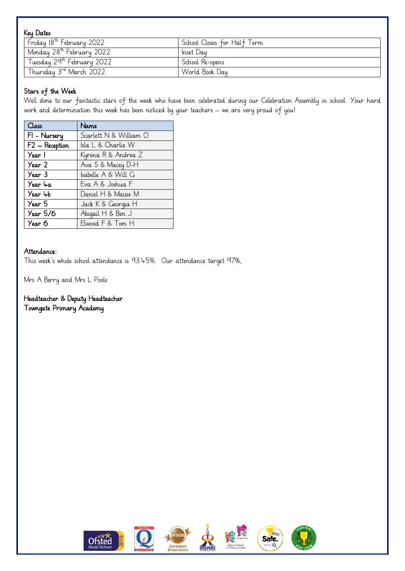| Key Dates                             |                             |
|---------------------------------------|-----------------------------|
| Friday 18 <sup>th</sup> February 2022 | School Closes for Half Term |
| Monday 28 <sup>th</sup> February 2022 | Inset Day                   |
| Tuesday 29th February 2022            | School Re-opens             |
| Thursday 3rd March 2022               | World Book Day              |

# Stars of the Week

i<br>L

Well done to our fantastic stars of the week who have been celebrated during our Celebration Assembly in school. Your hard work and determination this week has been noticed by your teachers – we are very proud of you!

| Class          | Name                   |
|----------------|------------------------|
| FI - Nursery   | Scarlett N & William O |
| F2 - Reception | Isla L & Charlie W     |
| Year 1         | Kyrena R & Andrea Z    |
| Year 2         | Ava S & Macey D-H      |
| Year 3         | Isabelle A & Will G    |
| Year 4a        | Eva A & Joshua F       |
| Year 4b        | Daniel H & Maisie M    |
| Year 5         | Jack K & Georgia H     |
| Year 5/6       | Abigail H & Ben J      |
| Year 6         | Elwood F & Tom H       |

# Attendance:

This week's whole school attendance is 93.45%. Our attendance target 97%,

Mrs A Berry and Mrs L Poole

# Headteacher & Deputy Headteacher

Towngate Primary Academy













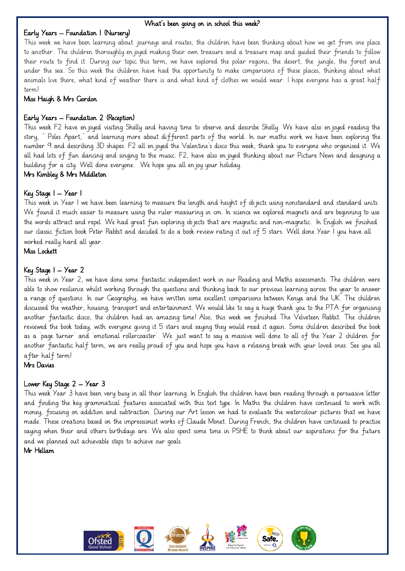#### i<br>L What's been going on in school this week?

#### Early Years – Foundation 1 (Nursery)

This week we have been learning about journeys and routes, the children have been thinking about how we get from one place to another. The children thoroughly enjoyed making their own treasure and a treasure map and guided their friends to follow their route to find it. During our topic this term, we have explored the polar regions, the desert, the jungle, the forest and under the sea. So this week the children have had the opportunity to make comparisons of these places, thinking about what animals live there, what kind of weather there is and what kind of clothes we would wear. I hope everyone has a great half term!

#### Miss Haigh & Mrs Gordon

#### Early Years – Foundation 2 (Reception)

This week F2 have enjoyed visiting Shelly and having time to observe and describe Shelly. We have also enjoyed reading the story, " Poles Apart," and learning more about different parts of the world. In our maths work we have been exploring the number 9 and describing 3D shapes. F2 all enjoyed the Valentine's disco this week, thank you to everyone who organised it. We all had lots of fun dancing and singing to the music. F2, have also enjoyed thinking about our Picture News and designing a building for a city. Well done everyone. We hope you all enjoy your holiday.

#### Mrs Kimbley & Mrs Middleton

#### Key Stage 1 – Year 1

This week in Year I we have been learning to measure the length and height of objects using nonstandard and standard units. We found it much easier to measure using the ruler measuring in cm. In science we explored magnets and are beginning to use the words attract and repel. We had great fun exploring objects that are magnetic and non-magnetic. In English we finished our classic fiction book Peter Rabbit and decided to do a book review rating it out of 5 stars. Well done Year 1 you have all worked really hard all year.

Miss Lockett

#### Key Stage 1 – Year 2

This week in Year 2, we have done some fantastic independent work in our Reading and Maths assessments. The children were able to show resilience whilst working through the questions and thinking back to our previous learning across the year to answer a range of questions. In our Geography, we have written some excellent comparisons between Kenya and the UK. The children discussed the weather, housing, transport and entertainment. We would like to say a huge thank you to the PTA for organising another fantastic disco, the children had an amazing time! Also, this week we finished The Velveteen Rabbit. The children reviewed the book today, with everyone giving it 5 stars and saying they would read it again. Some children described the book as a 'page turner' and 'emotional rollercoaster'. We just want to say a massive well done to all of the Year 2 children for another fantastic half term, we are really proud of you and hope you have a relaxing break with your loved ones. See you all after half term!

Mrs Davies

#### Lower Key Stage 2 – Year 3

This week Year 3 have been very busy in all their learning. In English the children have been reading through a persuasive letter and finding the key grammatical features associated with this text type. In Maths the children have continued to work with money, focusing on addition and subtraction. During our Art lesson we had to evaluate the watercolour pictures that we have made. These creations based on the impressionist works of Claude Monet. During French, the children have continued to practise saying when their and others birthdays are. We also spent some time in PSHE to think about our aspirations for the future and we planned out achievable steps to achieve our goals.

Mr Hellam

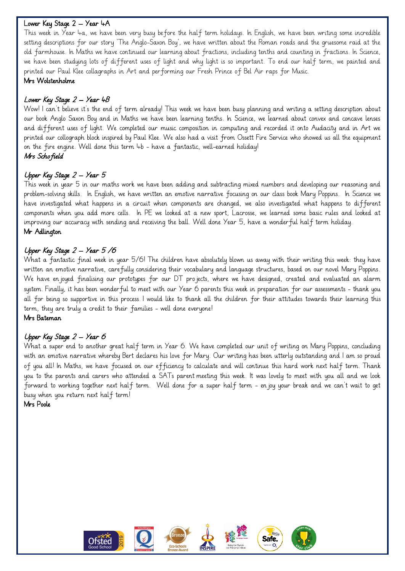#### i<br>L Lower Key Stage 2 – Year 4A

This week in Year 4a, we have been very busy before the half term holidays. In English, we have been writing some incredible setting descriptions for our story 'The Anglo-Saxon Boy', we have written about the Roman roads and the gruesome raid at the old farmhouse. In Maths we have continued our learning about fractions, including tenths and counting in fractions. In Science, we have been studying lots of different uses of light and why light is so important. To end our half term, we painted and printed our Paul Klee collagraphs in Art and performing our Fresh Prince of Bel Air raps for Music.

#### Mrs Wolstenholme

# Lower Key Stage 2 – Year 4B

Wow! I can't believe it's the end of term already! This week we have been busy planning and writing a setting description about our book Anglo Saxon Boy and in Maths we have been learning tenths. In Science, we learned about convex and concave lenses and different uses of light. We completed our music composition in computing and recorded it onto Audacity and in Art we printed our collograph block inspired by Paul Klee. We also had a visit from Ossett Fire Service who showed us all the equipment on the fire engine. Well done this term 4b - have a fantastic, well-earned holiday! Mrs Schofield

# Upper Key Stage 2 – Year 5

This week in year 5 in our maths work we have been adding and subtracting mixed numbers and developing our reasoning and problem-solving skills. In English, we have written an emotive narrative focusing on our class book Mary Poppins. In Science we have investigated what happens in a circuit when components are changed, we also investigated what happens to different components when you add more cells. In PE we looked at a new sport, Lacrosse, we learned some basic rules and looked at improving our accuracy with sending and receiving the ball. Well done Year 5, have a wonderful half term holiday. Mr Adlington

# Upper Key Stage 2 – Year 5 /6

What a fantastic final week in year 5/6! The children have absolutely blown us away with their writing this week: they have written an emotive narrative, carefully considering their vocabulary and language structures, based on our novel Mary Poppins. We have enjoyed finalising our prototypes for our DT projects, where we have designed, created and evaluated an alarm system. Finally, it has been wonderful to meet with our Year 6 parents this week in preparation for our assessments - thank you all for being so supportive in this process. I would like to thank all the children for their attitudes towards their learning this term, they are truly a credit to their families - well done everyone! Mrs Bateman

# Upper Key Stage 2 – Year 6

What a super end to another great half term in Year 6. We have completed our unit of writing on Mary Poppins, concluding with an emotive narrative whereby Bert declares his love for Mary. Our writing has been utterly outstanding and I am so proud of you all! In Maths, we have focused on our efficiency to calculate and will continue this hard work next half term. Thank you to the parents and carers who attended a SATs parent meeting this week. It was lovely to meet with you all and we look forward to working together next half term. Well done for a super half term - enjoy your break and we can't wait to get busy when you return next half term!

Mrs Poole